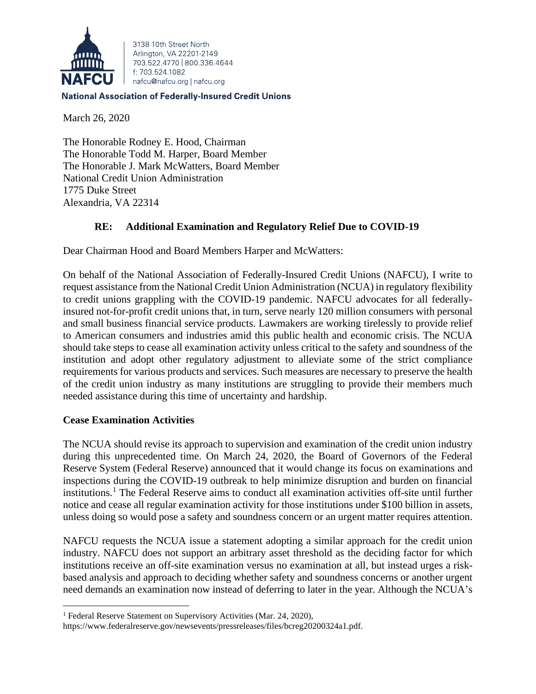

3138 10th Street North Arlington, VA 22201-2149 703 522 4770 800 336 4644 f: 703.524.1082 nafcu@nafcu.org | nafcu.org

#### **National Association of Federally-Insured Credit Unions**

March 26, 2020

The Honorable Rodney E. Hood, Chairman The Honorable Todd M. Harper, Board Member The Honorable J. Mark McWatters, Board Member National Credit Union Administration 1775 Duke Street Alexandria, VA 22314

# **RE: Additional Examination and Regulatory Relief Due to COVID-19**

Dear Chairman Hood and Board Members Harper and McWatters:

On behalf of the National Association of Federally-Insured Credit Unions (NAFCU), I write to request assistance from the National Credit Union Administration (NCUA) in regulatory flexibility to credit unions grappling with the COVID-19 pandemic. NAFCU advocates for all federallyinsured not-for-profit credit unions that, in turn, serve nearly 120 million consumers with personal and small business financial service products. Lawmakers are working tirelessly to provide relief to American consumers and industries amid this public health and economic crisis. The NCUA should take steps to cease all examination activity unless critical to the safety and soundness of the institution and adopt other regulatory adjustment to alleviate some of the strict compliance requirements for various products and services. Such measures are necessary to preserve the health of the credit union industry as many institutions are struggling to provide their members much needed assistance during this time of uncertainty and hardship.

## **Cease Examination Activities**

The NCUA should revise its approach to supervision and examination of the credit union industry during this unprecedented time. On March 24, 2020, the Board of Governors of the Federal Reserve System (Federal Reserve) announced that it would change its focus on examinations and inspections during the COVID-19 outbreak to help minimize disruption and burden on financial institutions.[1](#page-0-0) The Federal Reserve aims to conduct all examination activities off-site until further notice and cease all regular examination activity for those institutions under \$100 billion in assets, unless doing so would pose a safety and soundness concern or an urgent matter requires attention.

NAFCU requests the NCUA issue a statement adopting a similar approach for the credit union industry. NAFCU does not support an arbitrary asset threshold as the deciding factor for which institutions receive an off-site examination versus no examination at all, but instead urges a riskbased analysis and approach to deciding whether safety and soundness concerns or another urgent need demands an examination now instead of deferring to later in the year. Although the NCUA's

<span id="page-0-0"></span><sup>&</sup>lt;sup>1</sup> Federal Reserve Statement on Supervisory Activities (Mar. 24, 2020),

https://www.federalreserve.gov/newsevents/pressreleases/files/bcreg20200324a1.pdf.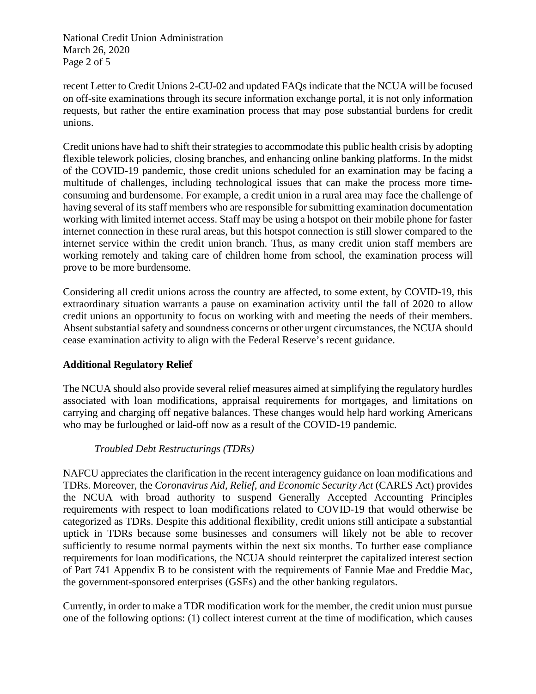National Credit Union Administration March 26, 2020 Page 2 of 5

recent Letter to Credit Unions 2-CU-02 and updated FAQs indicate that the NCUA will be focused on off-site examinations through its secure information exchange portal, it is not only information requests, but rather the entire examination process that may pose substantial burdens for credit unions.

Credit unions have had to shift their strategies to accommodate this public health crisis by adopting flexible telework policies, closing branches, and enhancing online banking platforms. In the midst of the COVID-19 pandemic, those credit unions scheduled for an examination may be facing a multitude of challenges, including technological issues that can make the process more timeconsuming and burdensome. For example, a credit union in a rural area may face the challenge of having several of its staff members who are responsible for submitting examination documentation working with limited internet access. Staff may be using a hotspot on their mobile phone for faster internet connection in these rural areas, but this hotspot connection is still slower compared to the internet service within the credit union branch. Thus, as many credit union staff members are working remotely and taking care of children home from school, the examination process will prove to be more burdensome.

Considering all credit unions across the country are affected, to some extent, by COVID-19, this extraordinary situation warrants a pause on examination activity until the fall of 2020 to allow credit unions an opportunity to focus on working with and meeting the needs of their members. Absent substantial safety and soundness concerns or other urgent circumstances, the NCUA should cease examination activity to align with the Federal Reserve's recent guidance.

## **Additional Regulatory Relief**

The NCUA should also provide several relief measures aimed at simplifying the regulatory hurdles associated with loan modifications, appraisal requirements for mortgages, and limitations on carrying and charging off negative balances. These changes would help hard working Americans who may be furloughed or laid-off now as a result of the COVID-19 pandemic.

## *Troubled Debt Restructurings (TDRs)*

NAFCU appreciates the clarification in the recent interagency guidance on loan modifications and TDRs. Moreover, the *Coronavirus Aid, Relief, and Economic Security Act* (CARES Act) provides the NCUA with broad authority to suspend Generally Accepted Accounting Principles requirements with respect to loan modifications related to COVID-19 that would otherwise be categorized as TDRs. Despite this additional flexibility, credit unions still anticipate a substantial uptick in TDRs because some businesses and consumers will likely not be able to recover sufficiently to resume normal payments within the next six months. To further ease compliance requirements for loan modifications, the NCUA should reinterpret the capitalized interest section of Part 741 Appendix B to be consistent with the requirements of Fannie Mae and Freddie Mac, the government-sponsored enterprises (GSEs) and the other banking regulators.

Currently, in order to make a TDR modification work for the member, the credit union must pursue one of the following options: (1) collect interest current at the time of modification, which causes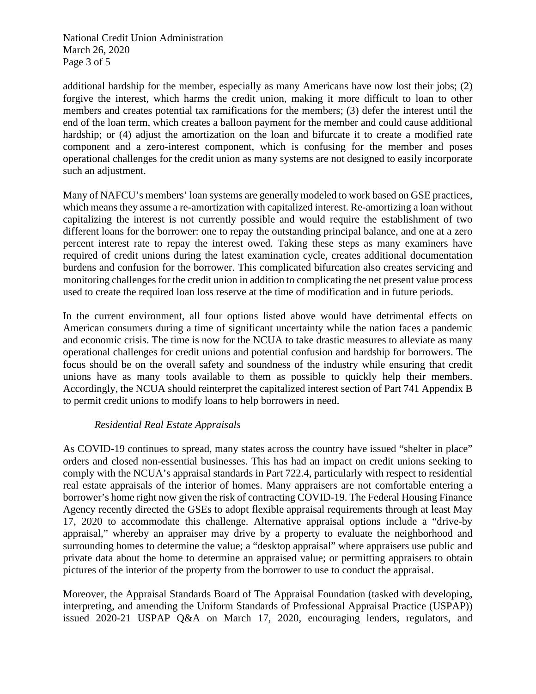National Credit Union Administration March 26, 2020 Page 3 of 5

additional hardship for the member, especially as many Americans have now lost their jobs; (2) forgive the interest, which harms the credit union, making it more difficult to loan to other members and creates potential tax ramifications for the members; (3) defer the interest until the end of the loan term, which creates a balloon payment for the member and could cause additional hardship; or (4) adjust the amortization on the loan and bifurcate it to create a modified rate component and a zero-interest component, which is confusing for the member and poses operational challenges for the credit union as many systems are not designed to easily incorporate such an adjustment.

Many of NAFCU's members' loan systems are generally modeled to work based on GSE practices, which means they assume a re-amortization with capitalized interest. Re-amortizing a loan without capitalizing the interest is not currently possible and would require the establishment of two different loans for the borrower: one to repay the outstanding principal balance, and one at a zero percent interest rate to repay the interest owed. Taking these steps as many examiners have required of credit unions during the latest examination cycle, creates additional documentation burdens and confusion for the borrower. This complicated bifurcation also creates servicing and monitoring challenges for the credit union in addition to complicating the net present value process used to create the required loan loss reserve at the time of modification and in future periods.

In the current environment, all four options listed above would have detrimental effects on American consumers during a time of significant uncertainty while the nation faces a pandemic and economic crisis. The time is now for the NCUA to take drastic measures to alleviate as many operational challenges for credit unions and potential confusion and hardship for borrowers. The focus should be on the overall safety and soundness of the industry while ensuring that credit unions have as many tools available to them as possible to quickly help their members. Accordingly, the NCUA should reinterpret the capitalized interest section of Part 741 Appendix B to permit credit unions to modify loans to help borrowers in need.

#### *Residential Real Estate Appraisals*

As COVID-19 continues to spread, many states across the country have issued "shelter in place" orders and closed non-essential businesses. This has had an impact on credit unions seeking to comply with the NCUA's appraisal standards in Part 722.4, particularly with respect to residential real estate appraisals of the interior of homes. Many appraisers are not comfortable entering a borrower's home right now given the risk of contracting COVID-19. The Federal Housing Finance Agency recently directed the GSEs to adopt flexible appraisal requirements through at least May 17, 2020 to accommodate this challenge. Alternative appraisal options include a "drive-by appraisal," whereby an appraiser may drive by a property to evaluate the neighborhood and surrounding homes to determine the value; a "desktop appraisal" where appraisers use public and private data about the home to determine an appraised value; or permitting appraisers to obtain pictures of the interior of the property from the borrower to use to conduct the appraisal.

Moreover, the Appraisal Standards Board of The Appraisal Foundation (tasked with developing, interpreting, and amending the Uniform Standards of Professional Appraisal Practice (USPAP)) issued 2020-21 USPAP Q&A on March 17, 2020, encouraging lenders, regulators, and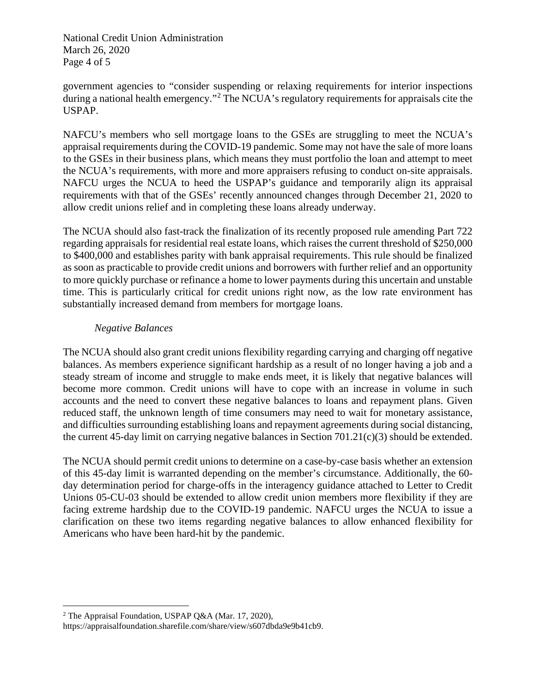National Credit Union Administration March 26, 2020 Page 4 of 5

government agencies to "consider suspending or relaxing requirements for interior inspections during a national health emergency."<sup>[2](#page-3-0)</sup> The NCUA's regulatory requirements for appraisals cite the USPAP.

NAFCU's members who sell mortgage loans to the GSEs are struggling to meet the NCUA's appraisal requirements during the COVID-19 pandemic. Some may not have the sale of more loans to the GSEs in their business plans, which means they must portfolio the loan and attempt to meet the NCUA's requirements, with more and more appraisers refusing to conduct on-site appraisals. NAFCU urges the NCUA to heed the USPAP's guidance and temporarily align its appraisal requirements with that of the GSEs' recently announced changes through December 21, 2020 to allow credit unions relief and in completing these loans already underway.

The NCUA should also fast-track the finalization of its recently proposed rule amending Part 722 regarding appraisals for residential real estate loans, which raises the current threshold of \$250,000 to \$400,000 and establishes parity with bank appraisal requirements. This rule should be finalized as soon as practicable to provide credit unions and borrowers with further relief and an opportunity to more quickly purchase or refinance a home to lower payments during this uncertain and unstable time. This is particularly critical for credit unions right now, as the low rate environment has substantially increased demand from members for mortgage loans.

## *Negative Balances*

The NCUA should also grant credit unions flexibility regarding carrying and charging off negative balances. As members experience significant hardship as a result of no longer having a job and a steady stream of income and struggle to make ends meet, it is likely that negative balances will become more common. Credit unions will have to cope with an increase in volume in such accounts and the need to convert these negative balances to loans and repayment plans. Given reduced staff, the unknown length of time consumers may need to wait for monetary assistance, and difficulties surrounding establishing loans and repayment agreements during social distancing, the current 45-day limit on carrying negative balances in Section 701.21(c)(3) should be extended.

The NCUA should permit credit unions to determine on a case-by-case basis whether an extension of this 45-day limit is warranted depending on the member's circumstance. Additionally, the 60 day determination period for charge-offs in the interagency guidance attached to Letter to Credit Unions 05-CU-03 should be extended to allow credit union members more flexibility if they are facing extreme hardship due to the COVID-19 pandemic. NAFCU urges the NCUA to issue a clarification on these two items regarding negative balances to allow enhanced flexibility for Americans who have been hard-hit by the pandemic.

<span id="page-3-0"></span><sup>2</sup> The Appraisal Foundation, USPAP Q&A (Mar. 17, 2020),

https://appraisalfoundation.sharefile.com/share/view/s607dbda9e9b41cb9.